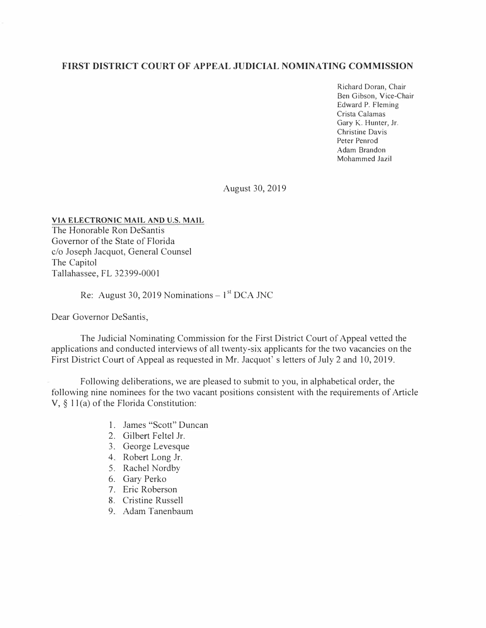## **FIRST DISTRICT COURT OF APPEAL JUDICIAL NOMINATING COMMISSION**

Richard Doran, Chair Ben Gibson, Vice-Chair Edward P. Fleming Crista Calamas Gary K. Hunter, Jr. Christine Davis Peter Penrod Adam Brandon Mohammed Jazil

August 30, 2019

## **VIA ELECTRONIC MAIL AND U.S. MAIL**

The Honorable Ron DeSantis Governor of the State of Florida c/o Joseph Jacquot, General Counsel The Capitol Tallahassee, FL 32399-0001

## Re: August 30, 2019 Nominations  $-1<sup>st</sup> DCA JNC$

Dear Governor DeSantis,

The Judicial Nominating Commission for the First District Court of Appeal vetted the applications and conducted interviews of all twenty-six applicants for the two vacancies on the First District Court of Appeal as requested in Mr. Jacquot' s letters of July 2 and 10, 2019.

Following deliberations, we are pleased to submit to you, in alphabetical order, the following nine nominees for the two vacant positions consistent with the requirements of Article V, § l l(a) of the Florida Constitution:

- 1. James "Scott" Duncan
- 2. Gilbert Feltel Jr.
- 3. George Levesque
- 4. Robert Long Jr.
- 5. Rachel Nordby
- 6. Gary Perko
- 7. Eric Roberson
- 8. Cristine Russell
- 9. Adam Tanenbaum